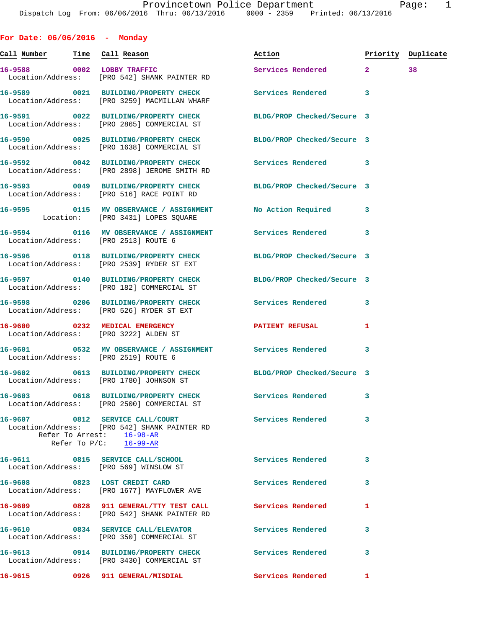**For Date: 06/06/2016 - Monday Call Number Time Call Reason Action Priority Duplicate 16-9588 0002 LOBBY TRAFFIC Services Rendered 2 38**  Location/Address: [PRO 542] SHANK PAINTER RD **16-9589 0021 BUILDING/PROPERTY CHECK Services Rendered 3**  Location/Address: [PRO 3259] MACMILLAN WHARF **16-9591 0022 BUILDING/PROPERTY CHECK BLDG/PROP Checked/Secure 3**  Location/Address: [PRO 2865] COMMERCIAL ST **16-9590 0025 BUILDING/PROPERTY CHECK BLDG/PROP Checked/Secure 3**  Location/Address: [PRO 1638] COMMERCIAL ST **16-9592 0042 BUILDING/PROPERTY CHECK Services Rendered 3**  Location/Address: [PRO 2898] JEROME SMITH RD **16-9593 0049 BUILDING/PROPERTY CHECK BLDG/PROP Checked/Secure 3**  Location/Address: [PRO 516] RACE POINT RD **16-9595 0115 MV OBSERVANCE / ASSIGNMENT No Action Required 3**  Location: [PRO 3431] LOPES SQUARE **16-9594 0116 MV OBSERVANCE / ASSIGNMENT Services Rendered 3**  Location/Address: [PRO 2513] ROUTE 6 **16-9596 0118 BUILDING/PROPERTY CHECK BLDG/PROP Checked/Secure 3**  Location/Address: [PRO 2539] RYDER ST EXT **16-9597 0140 BUILDING/PROPERTY CHECK BLDG/PROP Checked/Secure 3**  Location/Address: [PRO 182] COMMERCIAL ST **16-9598 0206 BUILDING/PROPERTY CHECK Services Rendered 3**  Location/Address: [PRO 526] RYDER ST EXT **16-9600 0232 MEDICAL EMERGENCY PATIENT REFUSAL 1**  Location/Address: [PRO 3222] ALDEN ST **16-9601 0532 MV OBSERVANCE / ASSIGNMENT Services Rendered 3**  Location/Address: [PRO 2519] ROUTE 6 **16-9602 0613 BUILDING/PROPERTY CHECK BLDG/PROP Checked/Secure 3**  Location/Address: [PRO 1780] JOHNSON ST **16-9603 0618 BUILDING/PROPERTY CHECK Services Rendered 3**  Location/Address: [PRO 2500] COMMERCIAL ST 16-9607 0812 SERVICE CALL/COURT Services Rendered 3 Location/Address: [PRO 542] SHANK PAINTER RD Refer To Arrest: 16-98-AR Refer To P/C: 16-99-AR **16-9611 0815 SERVICE CALL/SCHOOL Services Rendered 3**  Location/Address: [PRO 569] WINSLOW ST **16-9608 0823 LOST CREDIT CARD Services Rendered 3**  Location/Address: [PRO 1677] MAYFLOWER AVE **16-9609 0828 911 GENERAL/TTY TEST CALL Services Rendered 1** 

 Location/Address: [PRO 542] SHANK PAINTER RD **16-9610 0834 SERVICE CALL/ELEVATOR Services Rendered 3**  Location/Address: [PRO 350] COMMERCIAL ST **16-9613 0914 BUILDING/PROPERTY CHECK Services Rendered 3**  Location/Address: [PRO 3430] COMMERCIAL ST **16-9615 0926 911 GENERAL/MISDIAL Services Rendered 1**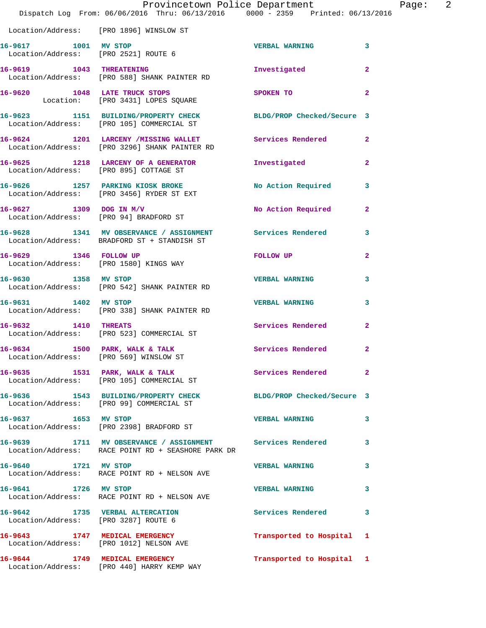|                                                                         | Provincetown Police Department<br>Dispatch Log From: 06/06/2016 Thru: 06/13/2016 0000 - 2359 Printed: 06/13/2016 |                          |                         |
|-------------------------------------------------------------------------|------------------------------------------------------------------------------------------------------------------|--------------------------|-------------------------|
|                                                                         | Location/Address: [PRO 1896] WINSLOW ST                                                                          |                          |                         |
| 16-9617 1001 MV STOP                                                    | Location/Address: [PRO 2521] ROUTE 6                                                                             | <b>VERBAL WARNING</b>    | 3                       |
| 16-9619 1043 THREATENING                                                | Location/Address: [PRO 588] SHANK PAINTER RD                                                                     | Investigated             | $\mathbf{2}$            |
|                                                                         | 16-9620 1048 LATE TRUCK STOPS<br>Location: [PRO 3431] LOPES SQUARE                                               | SPOKEN TO                | $\overline{\mathbf{2}}$ |
|                                                                         | 16-9623 1151 BUILDING/PROPERTY CHECK BLDG/PROP Checked/Secure 3<br>Location/Address: [PRO 105] COMMERCIAL ST     |                          |                         |
|                                                                         | 16-9624 1201 LARCENY /MISSING WALLET<br>Location/Address: [PRO 3296] SHANK PAINTER RD                            | <b>Services Rendered</b> | $\mathbf{2}$            |
|                                                                         | 16-9625 1218 LARCENY OF A GENERATOR<br>Location/Address: [PRO 895] COTTAGE ST                                    | Investigated             | $\mathbf{2}$            |
|                                                                         | 16-9626 1257 PARKING KIOSK BROKE<br>Location/Address: [PRO 3456] RYDER ST EXT                                    | No Action Required       | 3                       |
| $16 - 9627$ 1309 DOG IN M/V                                             | Location/Address: [PRO 94] BRADFORD ST                                                                           | No Action Required       | 2                       |
|                                                                         | 16-9628 1341 MV OBSERVANCE / ASSIGNMENT Services Rendered<br>Location/Address: BRADFORD ST + STANDISH ST         |                          | 3                       |
| 16-9629 1346 FOLLOW UP                                                  | Location/Address: [PRO 1580] KINGS WAY                                                                           | FOLLOW UP                | $\mathbf{2}$            |
| 16-9630 1358 MV STOP                                                    | Location/Address: [PRO 542] SHANK PAINTER RD                                                                     | <b>VERBAL WARNING</b>    | 3                       |
| 16-9631 1402 MV STOP                                                    | Location/Address: [PRO 338] SHANK PAINTER RD                                                                     | <b>VERBAL WARNING</b>    | 3                       |
| 16-9632 1410 THREATS                                                    | Location/Address: [PRO 523] COMMERCIAL ST                                                                        | <b>Services Rendered</b> | $\overline{2}$          |
| 16-9634<br>Location/Address: [PRO 569] WINSLOW ST                       | 1500 PARK, WALK & TALK                                                                                           | Services Rendered        | 2                       |
|                                                                         | 16-9635 1531 PARK, WALK & TALK<br>Location/Address: [PRO 105] COMMERCIAL ST                                      | Services Rendered        | $\overline{2}$          |
|                                                                         | 16-9636 1543 BUILDING/PROPERTY CHECK BLDG/PROP Checked/Secure 3<br>Location/Address: [PRO 99] COMMERCIAL ST      |                          |                         |
| 16-9637 1653 MV STOP                                                    | Location/Address: [PRO 2398] BRADFORD ST                                                                         | <b>VERBAL WARNING</b>    | 3                       |
|                                                                         | 16-9639 1711 MV OBSERVANCE / ASSIGNMENT Services Rendered<br>Location/Address: RACE POINT RD + SEASHORE PARK DR  |                          | 3                       |
| 16-9640 1721 MV STOP                                                    | Location/Address: RACE POINT RD + NELSON AVE                                                                     | <b>VERBAL WARNING</b>    | 3                       |
| 16-9641 1726 MV STOP                                                    | Location/Address: RACE POINT RD + NELSON AVE                                                                     | <b>VERBAL WARNING</b>    | 3                       |
| 16-9642 1735 VERBAL ALTERCATION<br>Location/Address: [PRO 3287] ROUTE 6 |                                                                                                                  | <b>Services Rendered</b> | 3                       |
|                                                                         | 16-9643 1747 MEDICAL EMERGENCY<br>Location/Address: [PRO 1012] NELSON AVE                                        | Transported to Hospital  | 1                       |
|                                                                         | 16-9644 1749 MEDICAL EMERGENCY<br>Location/Address: [PRO 440] HARRY KEMP WAY                                     | Transported to Hospital  | $\mathbf{1}$            |

Page: 2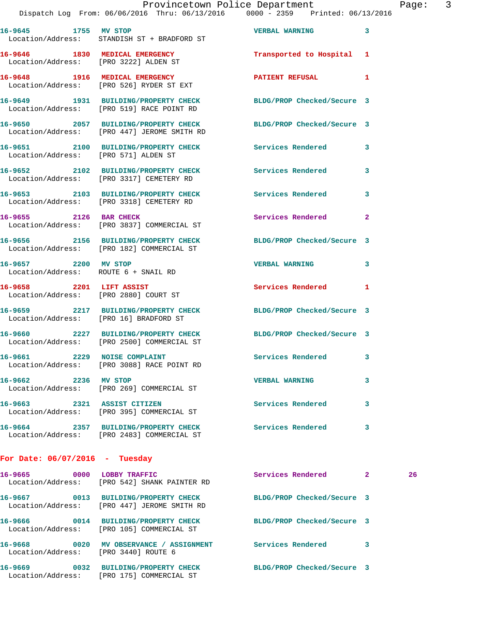| 16-9645 1755 MV STOP                                              | Location/Address: STANDISH ST + BRADFORD ST                                                                    | VERBAL WARNING 3           |              |    |
|-------------------------------------------------------------------|----------------------------------------------------------------------------------------------------------------|----------------------------|--------------|----|
| Location/Address: [PRO 3222] ALDEN ST                             | 16-9646 1830 MEDICAL EMERGENCY                                                                                 | Transported to Hospital    | 1            |    |
|                                                                   | 16-9648 1916 MEDICAL EMERGENCY<br>Location/Address: [PRO 526] RYDER ST EXT                                     | PATIENT REFUSAL            | 1            |    |
|                                                                   | 16-9649 1931 BUILDING/PROPERTY CHECK<br>Location/Address: [PRO 519] RACE POINT RD                              | BLDG/PROP Checked/Secure 3 |              |    |
|                                                                   | 16-9650 2057 BUILDING/PROPERTY CHECK BLDG/PROP Checked/Secure 3<br>Location/Address: [PRO 447] JEROME SMITH RD |                            |              |    |
| Location/Address: [PRO 571] ALDEN ST                              | 16-9651 2100 BUILDING/PROPERTY CHECK Services Rendered                                                         |                            | 3            |    |
|                                                                   | 16-9652 2102 BUILDING/PROPERTY CHECK Services Rendered<br>Location/Address: [PRO 3317] CEMETERY RD             |                            | 3            |    |
|                                                                   | 16-9653 2103 BUILDING/PROPERTY CHECK Services Rendered<br>Location/Address: [PRO 3318] CEMETERY RD             |                            | 3            |    |
| 16-9655 2126 BAR CHECK                                            | Location/Address: [PRO 3837] COMMERCIAL ST                                                                     | Services Rendered          | $\mathbf{2}$ |    |
|                                                                   | 16-9656 2156 BUILDING/PROPERTY CHECK<br>Location/Address: [PRO 182] COMMERCIAL ST                              | BLDG/PROP Checked/Secure 3 |              |    |
| 16-9657 2200 MV STOP<br>Location/Address: ROUTE 6 + SNAIL RD      |                                                                                                                | <b>VERBAL WARNING</b>      | 3            |    |
| 16-9658 2201 LIFT ASSIST<br>Location/Address: [PRO 2880] COURT ST |                                                                                                                | <b>Services Rendered</b>   | $\mathbf{1}$ |    |
|                                                                   | 16-9659 2217 BUILDING/PROPERTY CHECK<br>Location/Address: [PRO 16] BRADFORD ST                                 | BLDG/PROP Checked/Secure 3 |              |    |
|                                                                   | 16-9660 2227 BUILDING/PROPERTY CHECK<br>Location/Address: [PRO 2500] COMMERCIAL ST                             | BLDG/PROP Checked/Secure 3 |              |    |
|                                                                   | 16-9661 2229 NOISE COMPLAINT<br>Location/Address: [PRO 3088] RACE POINT RD                                     | <b>Services Rendered</b>   | 3            |    |
| 16-9662 2236 MV STOP                                              | Location/Address: [PRO 269] COMMERCIAL ST                                                                      | <b>VERBAL WARNING</b>      | 3            |    |
| 16-9663 2321 ASSIST CITIZEN                                       | Location/Address: [PRO 395] COMMERCIAL ST                                                                      | Services Rendered          | 3            |    |
|                                                                   | 16-9664 2357 BUILDING/PROPERTY CHECK<br>Location/Address: [PRO 2483] COMMERCIAL ST                             | <b>Services Rendered</b>   | 3            |    |
| For Date: $06/07/2016$ - Tuesday                                  |                                                                                                                |                            |              |    |
| 16-9665 0000 LOBBY TRAFFIC                                        | Location/Address: [PRO 542] SHANK PAINTER RD                                                                   | Services Rendered          | 2            | 26 |
|                                                                   | 16-9667 0013 BUILDING/PROPERTY CHECK<br>Location/Address: [PRO 447] JEROME SMITH RD                            | BLDG/PROP Checked/Secure 3 |              |    |

Location/Address: [PRO 105] COMMERCIAL ST

Location/Address: [PRO 3440] ROUTE 6

Location/Address: [PRO 175] COMMERCIAL ST

**16-9669 0032 BUILDING/PROPERTY CHECK BLDG/PROP Checked/Secure 3** 

**16-9666 0014 BUILDING/PROPERTY CHECK BLDG/PROP Checked/Secure 3 16-9668 0020 MV OBSERVANCE / ASSIGNMENT Services Rendered 3**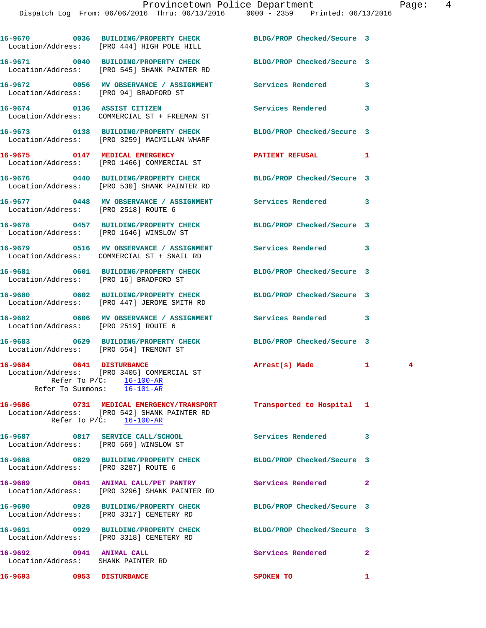|                                                                | 16-9670 0036 BUILDING/PROPERTY CHECK BLDG/PROP Checked/Secure 3<br>Location/Address: [PRO 444] HIGH POLE HILL                      |                            |                               |
|----------------------------------------------------------------|------------------------------------------------------------------------------------------------------------------------------------|----------------------------|-------------------------------|
|                                                                | 16-9671 0040 BUILDING/PROPERTY CHECK BLDG/PROP Checked/Secure 3<br>Location/Address: [PRO 545] SHANK PAINTER RD                    |                            |                               |
|                                                                | 16-9672 0056 MV OBSERVANCE / ASSIGNMENT Services Rendered<br>Location/Address: [PRO 94] BRADFORD ST                                |                            | 3                             |
|                                                                | 16-9674 0136 ASSIST CITIZEN<br>Location/Address: COMMERCIAL ST + FREEMAN ST                                                        | Services Rendered          | 3                             |
|                                                                | 16-9673 0138 BUILDING/PROPERTY CHECK BLDG/PROP Checked/Secure 3<br>Location/Address: [PRO 3259] MACMILLAN WHARF                    |                            |                               |
|                                                                | 16-9675 0147 MEDICAL EMERGENCY<br>Location/Address: [PRO 1466] COMMERCIAL ST                                                       | <b>PATIENT REFUSAL</b>     | 1                             |
|                                                                | 16-9676 0440 BUILDING/PROPERTY CHECK BLDG/PROP Checked/Secure 3<br>Location/Address: [PRO 530] SHANK PAINTER RD                    |                            |                               |
|                                                                | 16-9677 0448 MV OBSERVANCE / ASSIGNMENT Services Rendered<br>Location/Address: [PRO 2518] ROUTE 6                                  |                            | 3                             |
|                                                                | 16-9678 0457 BUILDING/PROPERTY CHECK BLDG/PROP Checked/Secure 3<br>Location/Address: [PRO 1646] WINSLOW ST                         |                            |                               |
|                                                                | Location/Address: COMMERCIAL ST + SNAIL RD                                                                                         |                            | 3                             |
|                                                                | 16-9681 0601 BUILDING/PROPERTY CHECK<br>Location/Address: [PRO 16] BRADFORD ST                                                     | BLDG/PROP Checked/Secure 3 |                               |
|                                                                | 16-9680 0602 BUILDING/PROPERTY CHECK BLDG/PROP Checked/Secure 3<br>Location/Address: [PRO 447] JEROME SMITH RD                     |                            |                               |
|                                                                | 16-9682 0606 MV OBSERVANCE / ASSIGNMENT Services Rendered<br>Location/Address: [PRO 2519] ROUTE 6                                  |                            | 3                             |
|                                                                | 16-9683 0629 BUILDING/PROPERTY CHECK BLDG/PROP Checked/Secure 3<br>Location/Address: [PRO 554] TREMONT ST                          |                            |                               |
| Refer To $P/C:$ 16-100-AR                                      | 16-9684 0641 DISTURBANCE<br>Location/Address: [PRO 3405] COMMERCIAL ST<br>Refer To Summons: 16-101-AR                              | Arrest(s) Made             | $\mathbf{1}$<br>$\frac{4}{3}$ |
|                                                                | 16-9686 0731 MEDICAL EMERGENCY/TRANSPORT<br>Location/Address: [PRO 542] SHANK PAINTER RD<br>Refer To $P/C$ : $\frac{16-100-AR}{2}$ | Transported to Hospital 1  |                               |
|                                                                | 16-9687 0817 SERVICE CALL/SCHOOL<br>Location/Address: [PRO 569] WINSLOW ST                                                         | <b>Services Rendered</b>   | 3                             |
| Location/Address: [PRO 3287] ROUTE 6                           | 16-9688 0829 BUILDING/PROPERTY CHECK BLDG/PROP Checked/Secure 3                                                                    |                            |                               |
|                                                                | 16-9689 0841 ANIMAL CALL/PET PANTRY<br>Location/Address: [PRO 3296] SHANK PAINTER RD                                               | Services Rendered          | $\mathbf{2}$                  |
|                                                                | 16-9690 0928 BUILDING/PROPERTY CHECK<br>Location/Address: [PRO 3317] CEMETERY RD                                                   | BLDG/PROP Checked/Secure 3 |                               |
|                                                                | 16-9691 0929 BUILDING/PROPERTY CHECK BLDG/PROP Checked/Secure 3<br>Location/Address: [PRO 3318] CEMETERY RD                        |                            |                               |
| 16-9692 0941 ANIMAL CALL<br>Location/Address: SHANK PAINTER RD |                                                                                                                                    | Services Rendered          | $\mathbf{2}$                  |
| 16-9693 0953 DISTURBANCE                                       |                                                                                                                                    | SPOKEN TO                  | $\mathbf{1}$                  |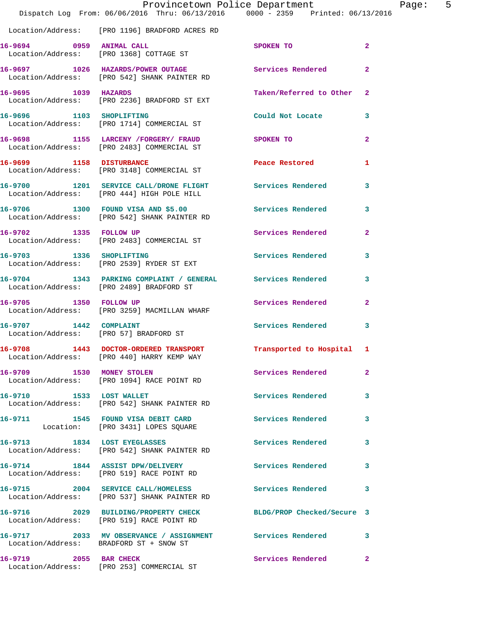|                                                                  | Dispatch Log From: 06/06/2016 Thru: 06/13/2016 0000 - 2359 Printed: 06/13/2016                               | Provincetown Police Department | Page: 5                 |  |
|------------------------------------------------------------------|--------------------------------------------------------------------------------------------------------------|--------------------------------|-------------------------|--|
|                                                                  | Location/Address: [PRO 1196] BRADFORD ACRES RD                                                               |                                |                         |  |
|                                                                  | 16-9694 0959 ANIMAL CALL<br>Location/Address: [PRO 1368] COTTAGE ST                                          | SPOKEN TO                      | $\overline{2}$          |  |
|                                                                  | 16-9697 1026 HAZARDS/POWER OUTAGE<br>Location/Address: [PRO 542] SHANK PAINTER RD                            | Services Rendered              | $\mathbf{2}$            |  |
| 16-9695 1039 HAZARDS                                             | Location/Address: [PRO 2236] BRADFORD ST EXT                                                                 | Taken/Referred to Other 2      |                         |  |
| 16-9696 1103 SHOPLIFTING                                         | Location/Address: [PRO 1714] COMMERCIAL ST                                                                   | Could Not Locate 3             |                         |  |
|                                                                  | 16-9698 1155 LARCENY / FORGERY / FRAUD<br>Location/Address: [PRO 2483] COMMERCIAL ST                         | SPOKEN TO                      | $\mathbf{2}$            |  |
|                                                                  | 16-9699 1158 DISTURBANCE<br>Location/Address: [PRO 3148] COMMERCIAL ST                                       | Peace Restored and the sea     | 1                       |  |
|                                                                  | 16-9700 1201 SERVICE CALL/DRONE FLIGHT Services Rendered<br>Location/Address: [PRO 444] HIGH POLE HILL       |                                | 3                       |  |
|                                                                  | 16-9706 1300 FOUND VISA AND \$5.00<br>Location/Address: [PRO 542] SHANK PAINTER RD                           | Services Rendered              | $\overline{\mathbf{3}}$ |  |
|                                                                  | 16-9702 1335 FOLLOW UP<br>Location/Address: [PRO 2483] COMMERCIAL ST                                         | Services Rendered              | $\mathbf{2}$            |  |
|                                                                  | 16-9703 1336 SHOPLIFTING<br>Location/Address: [PRO 2539] RYDER ST EXT                                        | Services Rendered 3            |                         |  |
|                                                                  | 16-9704 1343 PARKING COMPLAINT / GENERAL<br>Location/Address: [PRO 2489] BRADFORD ST                         | Services Rendered              | 3                       |  |
| 16-9705 1350 FOLLOW UP                                           | Location/Address: [PRO 3259] MACMILLAN WHARF                                                                 | Services Rendered 2            |                         |  |
| 16-9707 1442 COMPLAINT<br>Location/Address: [PRO 57] BRADFORD ST |                                                                                                              | Services Rendered              | 3                       |  |
| 16-9708                                                          | 1443 DOCTOR-ORDERED TRANSPORT Transported to Hospital 1<br>Location/Address: [PRO 440] HARRY KEMP WAY        |                                |                         |  |
|                                                                  | 16-9709 1530 MONEY STOLEN<br>Location/Address: [PRO 1094] RACE POINT RD                                      | Services Rendered              | $\mathbf{2}$            |  |
|                                                                  | 16-9710 1533 LOST WALLET<br>Location/Address: [PRO 542] SHANK PAINTER RD                                     | Services Rendered 3            |                         |  |
|                                                                  | 16-9711 1545 FOUND VISA DEBIT CARD<br>Location: [PRO 3431] LOPES SQUARE                                      | Services Rendered              | 3                       |  |
|                                                                  | 16-9713 1834 LOST EYEGLASSES<br>Location/Address: [PRO 542] SHANK PAINTER RD                                 | Services Rendered              | -3                      |  |
|                                                                  | 16-9714 1844 ASSIST DPW/DELIVERY<br>Location/Address: [PRO 519] RACE POINT RD                                | Services Rendered              | 3                       |  |
|                                                                  | 16-9715 2004 SERVICE CALL/HOMELESS<br>Location/Address: [PRO 537] SHANK PAINTER RD                           | Services Rendered 3            |                         |  |
|                                                                  | 16-9716 2029 BUILDING/PROPERTY CHECK BLDG/PROP Checked/Secure 3<br>Location/Address: [PRO 519] RACE POINT RD |                                |                         |  |
|                                                                  | 16-9717 2033 MV OBSERVANCE / ASSIGNMENT Services Rendered 3<br>Location/Address: BRADFORD ST + SNOW ST       |                                |                         |  |
| 16-9719 2055 BAR CHECK                                           | Location/Address: [PRO 253] COMMERCIAL ST                                                                    | Services Rendered              | $\mathbf{2}$            |  |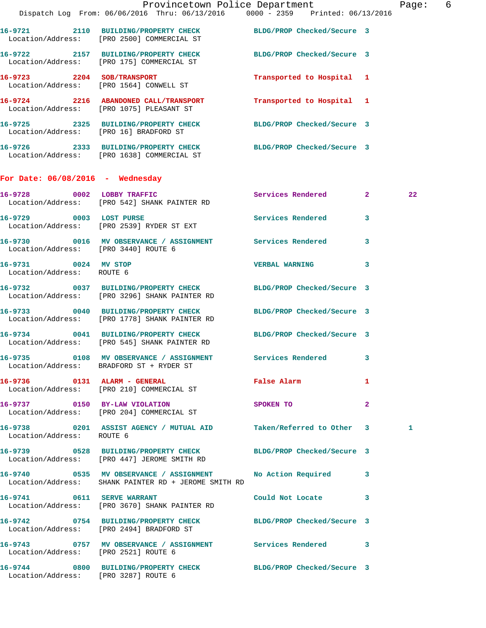|                                                   |                                                                                                                      | Provincetown Police Department Page: 6 |                         |    |  |
|---------------------------------------------------|----------------------------------------------------------------------------------------------------------------------|----------------------------------------|-------------------------|----|--|
|                                                   | Dispatch Log From: 06/06/2016 Thru: 06/13/2016 0000 - 2359 Printed: 06/13/2016                                       |                                        |                         |    |  |
|                                                   | 16-9721 2110 BUILDING/PROPERTY CHECK BLDG/PROP Checked/Secure 3<br>Location/Address: [PRO 2500] COMMERCIAL ST        |                                        |                         |    |  |
|                                                   | 16-9722 2157 BUILDING/PROPERTY CHECK BLDG/PROP Checked/Secure 3<br>Location/Address: [PRO 175] COMMERCIAL ST         |                                        |                         |    |  |
|                                                   | 16-9723 2204 SOB/TRANSPORT<br>Location/Address: [PRO 1564] CONWELL ST                                                | Transported to Hospital 1              |                         |    |  |
|                                                   | 16-9724 2216 ABANDONED CALL/TRANSPORT Transported to Hospital 1<br>Location/Address: [PRO 1075] PLEASANT ST          |                                        |                         |    |  |
|                                                   | 16-9725 2325 BUILDING/PROPERTY CHECK BLDG/PROP Checked/Secure 3<br>Location/Address: [PRO 16] BRADFORD ST            |                                        |                         |    |  |
|                                                   | 16-9726 2333 BUILDING/PROPERTY CHECK BLDG/PROP Checked/Secure 3<br>Location/Address: [PRO 1638] COMMERCIAL ST        |                                        |                         |    |  |
| For Date: $06/08/2016$ - Wednesday                |                                                                                                                      |                                        |                         |    |  |
|                                                   | 16-9728 0002 LOBBY TRAFFIC<br>Location/Address: [PRO 542] SHANK PAINTER RD                                           | Services Rendered 2                    |                         | 22 |  |
|                                                   | 16-9729 0003 LOST PURSE<br>Location/Address: [PRO 2539] RYDER ST EXT                                                 | Services Rendered                      | $\overline{\mathbf{3}}$ |    |  |
| Location/Address: [PRO 3440] ROUTE 6              | 16-9730 0016 MV OBSERVANCE / ASSIGNMENT Services Rendered                                                            |                                        | $\mathbf{3}$            |    |  |
| 16-9731 0024 MV STOP<br>Location/Address: ROUTE 6 |                                                                                                                      | VERBAL WARNING 3                       |                         |    |  |
|                                                   | 16-9732 0037 BUILDING/PROPERTY CHECK BLDG/PROP Checked/Secure 3<br>Location/Address: [PRO 3296] SHANK PAINTER RD     |                                        |                         |    |  |
|                                                   | 16-9733 0040 BUILDING/PROPERTY CHECK BLDG/PROP Checked/Secure 3<br>Location/Address: [PRO 1778] SHANK PAINTER RD     |                                        |                         |    |  |
|                                                   | 16-9734 0041 BUILDING/PROPERTY CHECK BLDG/PROP Checked/Secure 3<br>Location/Address: [PRO 545] SHANK PAINTER RD      |                                        |                         |    |  |
|                                                   | 16-9735   0108 MV OBSERVANCE / ASSIGNMENT   Services Rendered<br>Location/Address: BRADFORD ST + RYDER ST            |                                        | 3                       |    |  |
|                                                   | 16-9736 0131 ALARM - GENERAL<br>Location/Address: [PRO 210] COMMERCIAL ST                                            | False Alarm 1                          |                         |    |  |
|                                                   | 16-9737 0150 BY-LAW VIOLATION<br>Location/Address: [PRO 204] COMMERCIAL ST                                           | $\sim$ 2<br>SPOKEN TO                  |                         |    |  |
| Location/Address: ROUTE 6                         | 16-9738 0201 ASSIST AGENCY / MUTUAL AID Taken/Referred to Other 3                                                    |                                        |                         | 1  |  |
|                                                   | 16-9739 0528 BUILDING/PROPERTY CHECK BLDG/PROP Checked/Secure 3<br>Location/Address: [PRO 447] JEROME SMITH RD       |                                        |                         |    |  |
|                                                   | 16-9740 0535 MV OBSERVANCE / ASSIGNMENT No Action Required 3<br>Location/Address: SHANK PAINTER RD + JEROME SMITH RD |                                        |                         |    |  |
|                                                   | 16-9741 0611 SERVE WARRANT<br>Location/Address: [PRO 3670] SHANK PAINTER RD                                          | Could Not Locate 3                     |                         |    |  |
|                                                   | 16-9742 0754 BUILDING/PROPERTY CHECK BLDG/PROP Checked/Secure 3<br>Location/Address: [PRO 2494] BRADFORD ST          |                                        |                         |    |  |
| Location/Address: [PRO 2521] ROUTE 6              | 16-9743 0757 MV OBSERVANCE / ASSIGNMENT Services Rendered 3                                                          |                                        |                         |    |  |
| Location/Address: [PRO 3287] ROUTE 6              | 16-9744 0800 BUILDING/PROPERTY CHECK BLDG/PROP Checked/Secure 3                                                      |                                        |                         |    |  |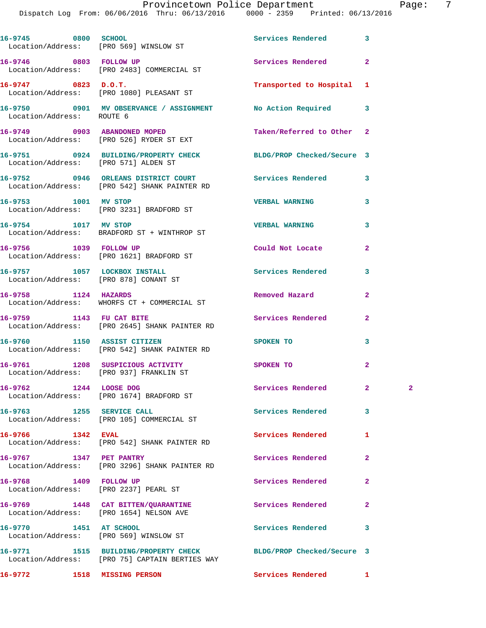Dispatch Log From: 06/06/2016 Thru: 06/13/2016 0000 - 2359 Printed: 06/13/2016

|                           | 16-9745 0800 SCHOOL SCHOOL SERVICES Rendered<br>Location/Address: [PRO 569] WINSLOW ST                |                            | 3              |              |
|---------------------------|-------------------------------------------------------------------------------------------------------|----------------------------|----------------|--------------|
|                           | 16-9746 0803 FOLLOW UP<br>Location/Address: [PRO 2483] COMMERCIAL ST                                  | Services Rendered          | $\mathbf{2}$   |              |
| 16-9747 0823 D.O.T.       | Location/Address: [PRO 1080] PLEASANT ST                                                              | Transported to Hospital 1  |                |              |
| Location/Address: ROUTE 6 | 16-9750 0901 MV OBSERVANCE / ASSIGNMENT No Action Required                                            |                            | 3              |              |
|                           | 16-9749 0903 ABANDONED MOPED<br>Location/Address: [PRO 526] RYDER ST EXT                              | Taken/Referred to Other    | $\mathbf{2}$   |              |
|                           | 16-9751 0924 BUILDING/PROPERTY CHECK<br>Location/Address: [PRO 571] ALDEN ST                          | BLDG/PROP Checked/Secure 3 |                |              |
|                           | 16-9752 0946 ORLEANS DISTRICT COURT Services Rendered<br>Location/Address: [PRO 542] SHANK PAINTER RD |                            | 3              |              |
| 16-9753 1001 MV STOP      | Location/Address: [PRO 3231] BRADFORD ST                                                              | <b>VERBAL WARNING</b>      | 3              |              |
|                           | 16-9754 1017 MV STOP<br>Location/Address: BRADFORD ST + WINTHROP ST                                   | <b>VERBAL WARNING</b>      | 3              |              |
| 16-9756 1039 FOLLOW UP    | Location/Address: [PRO 1621] BRADFORD ST                                                              | Could Not Locate           | $\mathbf{2}$   |              |
|                           | 16-9757 1057 LOCKBOX INSTALL<br>Location/Address: [PRO 878] CONANT ST                                 | Services Rendered          | 3              |              |
| 16-9758 1124 HAZARDS      | Location/Address: WHORFS CT + COMMERCIAL ST                                                           | Removed Hazard             | $\mathbf{2}$   |              |
|                           | 16-9759 1143 FU CAT BITE<br>Location/Address: [PRO 2645] SHANK PAINTER RD                             | Services Rendered          | $\mathbf{2}$   |              |
|                           | 16-9760 1150 ASSIST CITIZEN<br>Location/Address: [PRO 542] SHANK PAINTER RD                           | SPOKEN TO                  | 3              |              |
|                           | 16-9761 1208 SUSPICIOUS ACTIVITY<br>Location/Address: [PRO 937] FRANKLIN ST                           | SPOKEN TO                  | $\overline{a}$ |              |
| 16-9762 1244 LOOSE DOG    | Location/Address: [PRO 1674] BRADFORD ST                                                              | Services Rendered          | 2              | $\mathbf{2}$ |
|                           | 16-9763 1255 SERVICE CALL<br>Location/Address: [PRO 105] COMMERCIAL ST                                | <b>Services Rendered</b>   | 3              |              |
| 16-9766 1342 EVAL         | Location/Address: [PRO 542] SHANK PAINTER RD                                                          | Services Rendered          | 1              |              |
| 16-9767 1347 PET PANTRY   | Location/Address: [PRO 3296] SHANK PAINTER RD                                                         | Services Rendered          | 2              |              |
| 16-9768 1409 FOLLOW UP    | Location/Address: [PRO 2237] PEARL ST                                                                 | Services Rendered          | $\overline{a}$ |              |
|                           | 16-9769 1448 CAT BITTEN/QUARANTINE<br>Location/Address: [PRO 1654] NELSON AVE                         | Services Rendered          | 2              |              |
| 16-9770 1451 AT SCHOOL    | Location/Address: [PRO 569] WINSLOW ST                                                                | Services Rendered          | 3              |              |
|                           | 16-9771 1515 BUILDING/PROPERTY CHECK<br>Location/Address: [PRO 75] CAPTAIN BERTIES WAY                | BLDG/PROP Checked/Secure 3 |                |              |
|                           | 16-9772 1518 MISSING PERSON                                                                           | Services Rendered          | $\mathbf{1}$   |              |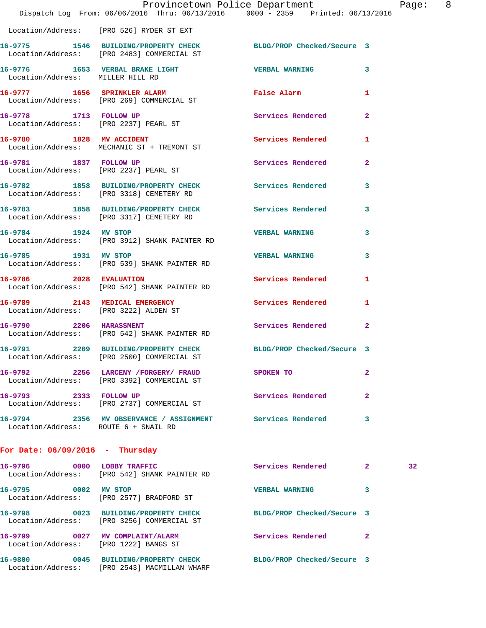|                                   | Provincetown Police Department<br>Dispatch Log From: 06/06/2016 Thru: 06/13/2016 0000 - 2359 Printed: 06/13/2016 |                            |                | Page |
|-----------------------------------|------------------------------------------------------------------------------------------------------------------|----------------------------|----------------|------|
|                                   | Location/Address: [PRO 526] RYDER ST EXT                                                                         |                            |                |      |
|                                   | 16-9775 1546 BUILDING/PROPERTY CHECK BLDG/PROP Checked/Secure 3<br>Location/Address: [PRO 2483] COMMERCIAL ST    |                            |                |      |
| Location/Address: MILLER HILL RD  | 16-9776 1653 VERBAL BRAKE LIGHT CONTROLL VERBAL WARNING                                                          |                            | 3              |      |
|                                   | 16-9777 1656 SPRINKLER ALARM<br>Location/Address: [PRO 269] COMMERCIAL ST                                        | False Alarm                | $\mathbf{1}$   |      |
|                                   | 16-9778 1713 FOLLOW UP<br>Location/Address: [PRO 2237] PEARL ST                                                  | Services Rendered          | $\overline{2}$ |      |
|                                   | 16-9780 1828 MV ACCIDENT<br>Location/Address: MECHANIC ST + TREMONT ST                                           | <b>Services Rendered</b>   | 1              |      |
|                                   | 16-9781 1837 FOLLOW UP<br>Location/Address: [PRO 2237] PEARL ST                                                  | Services Rendered          | $\overline{2}$ |      |
|                                   | 16-9782 1858 BUILDING/PROPERTY CHECK Services Rendered<br>Location/Address: [PRO 3318] CEMETERY RD               |                            | 3              |      |
|                                   | 16-9783 1858 BUILDING/PROPERTY CHECK Services Rendered<br>Location/Address: [PRO 3317] CEMETERY RD               |                            | 3              |      |
| 16-9784 1924 MV STOP              | Location/Address: [PRO 3912] SHANK PAINTER RD                                                                    | <b>VERBAL WARNING</b>      | 3              |      |
| 16-9785 1931 MV STOP              | Location/Address: [PRO 539] SHANK PAINTER RD                                                                     | <b>VERBAL WARNING</b>      | 3              |      |
|                                   | 16-9786 2028 EVALUATION<br>Location/Address: [PRO 542] SHANK PAINTER RD                                          | Services Rendered          | 1              |      |
|                                   | 16-9789 2143 MEDICAL EMERGENCY<br>Location/Address: [PRO 3222] ALDEN ST                                          | Services Rendered          | 1              |      |
| 16-9790 2206 HARASSMENT           | Location/Address: [PRO 542] SHANK PAINTER RD                                                                     | Services Rendered          | $\overline{a}$ |      |
|                                   | 16-9791 2209 BUILDING/PROPERTY CHECK BLDG/PROP Checked/Secure 3<br>Location/Address: [PRO 2500] COMMERCIAL ST    |                            |                |      |
|                                   | 16-9792 2256 LARCENY / FORGERY / FRAUD<br>Location/Address: [PRO 3392] COMMERCIAL ST                             | SPOKEN TO                  | $\overline{2}$ |      |
|                                   | 16-9793 2333 FOLLOW UP<br>Location/Address: [PRO 2737] COMMERCIAL ST                                             | Services Rendered          | $\overline{a}$ |      |
|                                   | 16-9794 2356 MV OBSERVANCE / ASSIGNMENT Services Rendered<br>Location/Address: ROUTE 6 + SNAIL RD                |                            | 3              |      |
| For Date: $06/09/2016$ - Thursday |                                                                                                                  |                            |                |      |
| 16-9796 0000 LOBBY TRAFFIC        | Location/Address: [PRO 542] SHANK PAINTER RD                                                                     | Services Rendered          | $\mathbf{2}$   | 32   |
| 16-9795 0002 MV STOP              | Location/Address: [PRO 2577] BRADFORD ST                                                                         | <b>VERBAL WARNING</b>      | 3              |      |
|                                   | 16-9798 0023 BUILDING/PROPERTY CHECK<br>Location/Address: [PRO 3256] COMMERCIAL ST                               | BLDG/PROP Checked/Secure 3 |                |      |
|                                   | 16-9799 0027 MV COMPLAINT/ALARM<br>Location/Address: [PRO 1222] BANGS ST                                         | Services Rendered          | $\mathbf{2}$   |      |
|                                   | 16-9800 0045 BUILDING/PROPERTY CHECK BLDG/PROP Checked/Secure 3                                                  |                            |                |      |

Location/Address: [PRO 2543] MACMILLAN WHARF

age: 8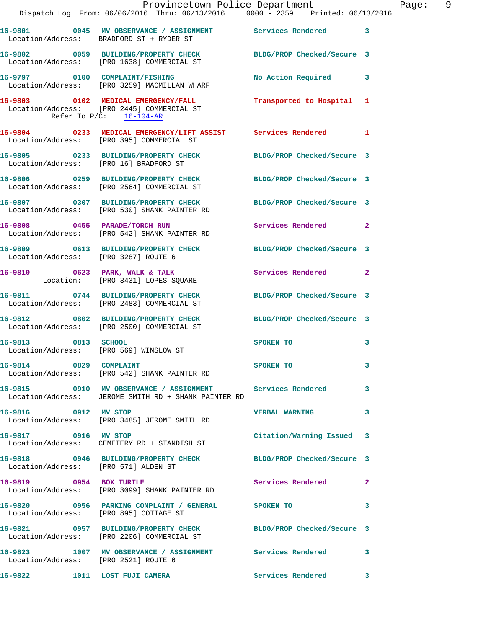|                                      | Dispatch Log From: 06/06/2016 Thru: 06/13/2016 0000 - 2359 Printed: 06/13/2016                                    | Provincetown Police Department Fage: 9 |              |
|--------------------------------------|-------------------------------------------------------------------------------------------------------------------|----------------------------------------|--------------|
|                                      | 16-9801 0045 MV OBSERVANCE / ASSIGNMENT Services Rendered 3<br>Location/Address: BRADFORD ST + RYDER ST           |                                        |              |
|                                      | 16-9802 0059 BUILDING/PROPERTY CHECK BLDG/PROP Checked/Secure 3<br>Location/Address: [PRO 1638] COMMERCIAL ST     |                                        |              |
|                                      |                                                                                                                   | No Action Required 3                   |              |
| Refer To $P/C$ : 16-104-AR           | 16-9803 0102 MEDICAL EMERGENCY/FALL Transported to Hospital 1<br>Location/Address: [PRO 2445] COMMERCIAL ST       |                                        |              |
|                                      | 16-9804 0233 MEDICAL EMERGENCY/LIFT ASSIST Services Rendered 1<br>Location/Address: [PRO 395] COMMERCIAL ST       |                                        |              |
|                                      | 16-9805 0233 BUILDING/PROPERTY CHECK BLDG/PROP Checked/Secure 3<br>Location/Address: [PRO 16] BRADFORD ST         |                                        |              |
|                                      | 16-9806 0259 BUILDING/PROPERTY CHECK BLDG/PROP Checked/Secure 3<br>Location/Address: [PRO 2564] COMMERCIAL ST     |                                        |              |
|                                      | 16-9807 0307 BUILDING/PROPERTY CHECK BLDG/PROP Checked/Secure 3<br>Location/Address: [PRO 530] SHANK PAINTER RD   |                                        |              |
|                                      | 16-9808 0455 PARADE/TORCH RUN Services Rendered 2<br>Location/Address: [PRO 542] SHANK PAINTER RD                 |                                        |              |
| Location/Address: [PRO 3287] ROUTE 6 | 16-9809 0613 BUILDING/PROPERTY CHECK BLDG/PROP Checked/Secure 3                                                   |                                        |              |
|                                      | 16-9810 0623 PARK, WALK & TALK<br>Location: [PRO 3431] LOPES SQUARE                                               | Services Rendered 2                    |              |
|                                      | 16-9811 0744 BUILDING/PROPERTY CHECK BLDG/PROP Checked/Secure 3<br>Location/Address: [PRO 2483] COMMERCIAL ST     |                                        |              |
|                                      | 16-9812 0802 BUILDING/PROPERTY CHECK BLDG/PROP Checked/Secure 3<br>Location/Address: [PRO 2500] COMMERCIAL ST     |                                        |              |
|                                      | 16-9813 0813 SCHOOL<br>Location/Address: [PRO 569] WINSLOW ST                                                     | SPOKEN TO                              | 3            |
| 16-9814 0829 COMPLAINT               | Location/Address: [PRO 542] SHANK PAINTER RD                                                                      | SPOKEN TO                              | 3            |
|                                      | 16-9815 0910 MV OBSERVANCE / ASSIGNMENT Services Rendered<br>Location/Address: JEROME SMITH RD + SHANK PAINTER RD |                                        | 3            |
| 16-9816 0912 MV STOP                 | Location/Address: [PRO 3485] JEROME SMITH RD                                                                      | VERBAL WARNING 3                       |              |
| 16-9817 0916 MV STOP                 | Location/Address: CEMETERY RD + STANDISH ST                                                                       | Citation/Warning Issued 3              |              |
| Location/Address: [PRO 571] ALDEN ST | 16-9818 0946 BUILDING/PROPERTY CHECK BLDG/PROP Checked/Secure 3                                                   |                                        |              |
|                                      | 16-9819 0954 BOX TURTLE<br>Location/Address: [PRO 3099] SHANK PAINTER RD                                          | Services Rendered                      | 2            |
|                                      | 16-9820 0956 PARKING COMPLAINT / GENERAL SPOKEN TO<br>Location/Address: [PRO 895] COTTAGE ST                      |                                        | 3            |
|                                      | 16-9821 0957 BUILDING/PROPERTY CHECK BLDG/PROP Checked/Secure 3<br>Location/Address: [PRO 2206] COMMERCIAL ST     |                                        |              |
| Location/Address: [PRO 2521] ROUTE 6 | 16-9823 1007 MV OBSERVANCE / ASSIGNMENT Services Rendered                                                         |                                        | 3            |
| 16-9822                              | 1011 LOST FUJI CAMERA                                                                                             | Services Rendered                      | $\mathbf{3}$ |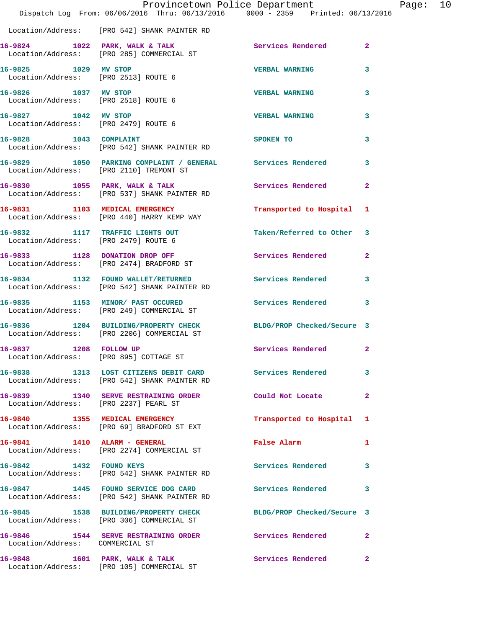|                                                              | Dispatch Log From: 06/06/2016 Thru: 06/13/2016 0000 - 2359 Printed: 06/13/2016                                | Provincetown Police Department |              | Page: 10 |  |
|--------------------------------------------------------------|---------------------------------------------------------------------------------------------------------------|--------------------------------|--------------|----------|--|
|                                                              | Location/Address: [PRO 542] SHANK PAINTER RD                                                                  |                                |              |          |  |
|                                                              | 16-9824 1022 PARK, WALK & TALK<br>Location/Address: [PRO 285] COMMERCIAL ST                                   | Services Rendered 2            |              |          |  |
| 16-9825 1029 MV STOP<br>Location/Address: [PRO 2513] ROUTE 6 |                                                                                                               | <b>VERBAL WARNING</b>          | 3            |          |  |
| 16-9826 1037 MV STOP<br>Location/Address: [PRO 2518] ROUTE 6 |                                                                                                               | <b>VERBAL WARNING</b>          | 3            |          |  |
| 16-9827 1042 MV STOP<br>Location/Address: [PRO 2479] ROUTE 6 |                                                                                                               | <b>VERBAL WARNING</b>          | 3            |          |  |
| 16-9828 1043 COMPLAINT                                       | Location/Address: [PRO 542] SHANK PAINTER RD                                                                  | SPOKEN TO                      | 3            |          |  |
|                                                              | 16-9829 1050 PARKING COMPLAINT / GENERAL Services Rendered<br>Location/Address: [PRO 2110] TREMONT ST         |                                | 3            |          |  |
|                                                              | 16-9830 1055 PARK, WALK & TALK<br>Location/Address: [PRO 537] SHANK PAINTER RD                                | Services Rendered              | $\mathbf{2}$ |          |  |
|                                                              | 16-9831 1103 MEDICAL EMERGENCY<br>Location/Address: [PRO 440] HARRY KEMP WAY                                  | Transported to Hospital 1      |              |          |  |
| Location/Address: [PRO 2479] ROUTE 6                         | 16-9832 1117 TRAFFIC LIGHTS OUT                                                                               | Taken/Referred to Other 3      |              |          |  |
|                                                              | 16-9833 1128 DONATION DROP OFF<br>Location/Address: [PRO 2474] BRADFORD ST                                    | Services Rendered 2            |              |          |  |
|                                                              | 16-9834 1132 FOUND WALLET/RETURNED<br>Location/Address: [PRO 542] SHANK PAINTER RD                            | Services Rendered              | 3            |          |  |
|                                                              | 16-9835 1153 MINOR/ PAST OCCURED<br>Location/Address: [PRO 249] COMMERCIAL ST                                 | Services Rendered 3            |              |          |  |
|                                                              | 16-9836 1204 BUILDING/PROPERTY CHECK BLDG/PROP Checked/Secure 3<br>Location/Address: [PRO 2206] COMMERCIAL ST |                                |              |          |  |
| 1208 FOLLOW UP<br>16-9837                                    | Location/Address: [PRO 895] COTTAGE ST                                                                        | Services Rendered 2            |              |          |  |
|                                                              | 16-9838 1313 LOST CITIZENS DEBIT CARD Services Rendered<br>Location/Address: [PRO 542] SHANK PAINTER RD       |                                | 3            |          |  |
|                                                              | 16-9839 1340 SERVE RESTRAINING ORDER Could Not Locate 2<br>Location/Address: [PRO 2237] PEARL ST              |                                |              |          |  |
|                                                              | 16-9840 1355 MEDICAL EMERGENCY<br>Location/Address: [PRO 69] BRADFORD ST EXT                                  | Transported to Hospital 1      |              |          |  |
|                                                              | 16-9841 1410 ALARM - GENERAL<br>Location/Address: [PRO 2274] COMMERCIAL ST                                    | False Alarm                    | $\mathbf{1}$ |          |  |
|                                                              | 16-9842 1432 FOUND KEYS<br>Location/Address: [PRO 542] SHANK PAINTER RD                                       | <b>Services Rendered</b>       | 3            |          |  |
|                                                              | 16-9847 1445 FOUND SERVICE DOG CARD<br>Location/Address: [PRO 542] SHANK PAINTER RD                           | Services Rendered 3            |              |          |  |
|                                                              | 16-9845 1538 BUILDING/PROPERTY CHECK BLDG/PROP Checked/Secure 3<br>Location/Address: [PRO 306] COMMERCIAL ST  |                                |              |          |  |
| Location/Address: COMMERCIAL ST                              | 16-9846 1544 SERVE RESTRAINING ORDER Services Rendered 2                                                      |                                |              |          |  |
|                                                              | 16-9848 1601 PARK, WALK & TALK<br>Location/Address: [PRO 105] COMMERCIAL ST                                   | Services Rendered              | $\mathbf{2}$ |          |  |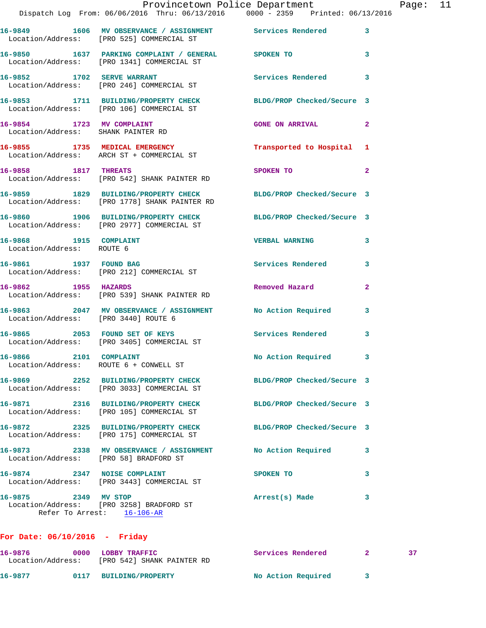|                                                                  | Provincetown Police Department<br>Dispatch Log From: 06/06/2016 Thru: 06/13/2016 0000 - 2359 Printed: 06/13/2016 |                            |              | Page: 11 |  |
|------------------------------------------------------------------|------------------------------------------------------------------------------------------------------------------|----------------------------|--------------|----------|--|
|                                                                  | 16-9849 1606 MV OBSERVANCE / ASSIGNMENT Services Rendered 3<br>Location/Address: [PRO 525] COMMERCIAL ST         |                            |              |          |  |
|                                                                  | 16-9850 1637 PARKING COMPLAINT / GENERAL SPOKEN TO<br>Location/Address: [PRO 1341] COMMERCIAL ST                 |                            | 3            |          |  |
|                                                                  | 16-9852 1702 SERVE WARRANT<br>Location/Address: [PRO 246] COMMERCIAL ST                                          | Services Rendered          | 3            |          |  |
|                                                                  | 16-9853 1711 BUILDING/PROPERTY CHECK BLDG/PROP Checked/Secure 3<br>Location/Address: [PRO 106] COMMERCIAL ST     |                            |              |          |  |
| Location/Address: SHANK PAINTER RD                               | 16-9854 1723 MV COMPLAINT                                                                                        | <b>GONE ON ARRIVAL</b>     | 2            |          |  |
|                                                                  | 16-9855 1735 MEDICAL EMERGENCY<br>Location/Address: ARCH ST + COMMERCIAL ST                                      | Transported to Hospital 1  |              |          |  |
|                                                                  | 16-9858 1817 THREATS<br>Location/Address: [PRO 542] SHANK PAINTER RD                                             | SPOKEN TO                  | $\mathbf{2}$ |          |  |
|                                                                  | 16-9859 1829 BUILDING/PROPERTY CHECK BLDG/PROP Checked/Secure 3<br>Location/Address: [PRO 1778] SHANK PAINTER RD |                            |              |          |  |
|                                                                  | 16-9860 1906 BUILDING/PROPERTY CHECK BLDG/PROP Checked/Secure 3<br>Location/Address: [PRO 2977] COMMERCIAL ST    |                            |              |          |  |
| 16-9868 1915 COMPLAINT<br>Location/Address: ROUTE 6              |                                                                                                                  | <b>VERBAL WARNING</b>      | 3            |          |  |
|                                                                  | 16-9861 1937 FOUND BAG<br>Location/Address: [PRO 212] COMMERCIAL ST                                              | Services Rendered 3        |              |          |  |
|                                                                  | 16-9862 1955 HAZARDS<br>Location/Address: [PRO 539] SHANK PAINTER RD                                             | Removed Hazard             | $\mathbf{2}$ |          |  |
| Location/Address: [PRO 3440] ROUTE 6                             | 16-9863 2047 MV OBSERVANCE / ASSIGNMENT No Action Required 3                                                     |                            |              |          |  |
|                                                                  | 16-9865 2053 FOUND SET OF KEYS<br>Location/Address: [PRO 3405] COMMERCIAL ST                                     | Services Rendered          | 3            |          |  |
| 16-9866 2101 COMPLAINT<br>Location/Address: ROUTE 6 + CONWELL ST |                                                                                                                  | No Action Required 3       |              |          |  |
|                                                                  | 16-9869 2252 BUILDING/PROPERTY CHECK<br>Location/Address: [PRO 3033] COMMERCIAL ST                               | BLDG/PROP Checked/Secure 3 |              |          |  |
|                                                                  |                                                                                                                  | BLDG/PROP Checked/Secure 3 |              |          |  |
|                                                                  | 16-9872 2325 BUILDING/PROPERTY CHECK<br>Location/Address: [PRO 175] COMMERCIAL ST                                | BLDG/PROP Checked/Secure 3 |              |          |  |
| Location/Address: [PRO 58] BRADFORD ST                           | 16-9873 2338 MV OBSERVANCE / ASSIGNMENT                                                                          | No Action Required         | 3            |          |  |
| 16-9874 2347 NOISE COMPLAINT                                     | Location/Address: [PRO 3443] COMMERCIAL ST                                                                       | SPOKEN TO                  | 3            |          |  |
| 16-9875 2349 MV STOP                                             | Location/Address: [PRO 3258] BRADFORD ST<br>Refer To Arrest: 16-106-AR                                           | Arrest(s) Made             | 3            |          |  |
|                                                                  |                                                                                                                  |                            |              |          |  |

## **For Date: 06/10/2016 - Friday**

| 16–9876           | 0000 | <b>LOBBY TRAFFIC</b>       | <b>Services Rendered</b> |  |
|-------------------|------|----------------------------|--------------------------|--|
| Location/Address: |      | [PRO 542] SHANK PAINTER RD |                          |  |
| 16-9877           | 0117 | <b>BUILDING/PROPERTY</b>   | No Action Required       |  |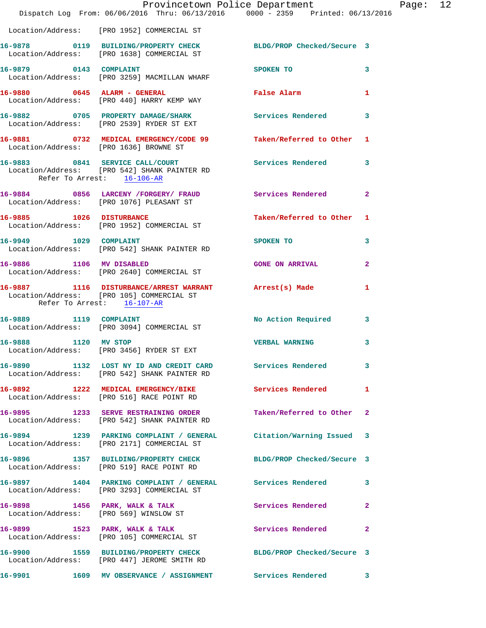|                            | Provincetown Police Department Page: 12<br>Dispatch Log From: 06/06/2016 Thru: 06/13/2016 0000 - 2359 Printed: 06/13/2016                                    |                           |              |  |
|----------------------------|--------------------------------------------------------------------------------------------------------------------------------------------------------------|---------------------------|--------------|--|
|                            | Location/Address: [PRO 1952] COMMERCIAL ST                                                                                                                   |                           |              |  |
|                            | 16-9878 		 0119 BUILDING/PROPERTY CHECK BLDG/PROP Checked/Secure 3<br>Location/Address: [PRO 1638] COMMERCIAL ST                                             |                           |              |  |
|                            | 16-9879 0143 COMPLAINT<br>Location/Address: [PRO 3259] MACMILLAN WHARF                                                                                       | SPOKEN TO                 | 3            |  |
|                            | 16-9880 0645 ALARM - GENERAL CONTRACTE PARAGEMENT POWER PARAGEMENT OF THE SERIES OF THE SERIES OF THE SERIES O<br>Location/Address: [PRO 440] HARRY KEMP WAY |                           |              |  |
|                            | 16-9882 0705 PROPERTY DAMAGE/SHARK Services Rendered<br>Location/Address: [PRO 2539] RYDER ST EXT                                                            |                           | $\mathbf{3}$ |  |
|                            | 16-9881 0732 MEDICAL EMERGENCY/CODE 99 Taken/Referred to Other 1<br>Location/Address: [PRO 1636] BROWNE ST                                                   |                           |              |  |
| Refer To Arrest: 16-106-AR | 16-9883      0841   SERVICE CALL/COURT<br>Location/Address:    [PRO 542] SHANK PAINTER RD                                                                    | Services Rendered 3       |              |  |
|                            | 16-9884 0856 LARCENY /FORGERY / FRAUD Services Rendered<br>Location/Address: [PRO 1076] PLEASANT ST                                                          |                           | $\mathbf{2}$ |  |
|                            | 16-9885 1026 DISTURBANCE<br>Location/Address: [PRO 1952] COMMERCIAL ST                                                                                       | Taken/Referred to Other 1 |              |  |
|                            | 16-9949 1029 COMPLAINT<br>Location/Address: [PRO 542] SHANK PAINTER RD                                                                                       | SPOKEN TO                 | 3            |  |
| 16-9886 1106 MV DISABLED   | Location/Address: [PRO 2640] COMMERCIAL ST                                                                                                                   | <b>GONE ON ARRIVAL</b>    | $\mathbf{2}$ |  |
| Refer To Arrest: 16-107-AR | 16-9887 1116 DISTURBANCE/ARREST WARRANT Arrest(s) Made<br>Location/Address: [PRO 105] COMMERCIAL ST                                                          |                           | 1            |  |
|                            | 16-9889 1119 COMPLAINT<br>Location/Address: [PRO 3094] COMMERCIAL ST                                                                                         | No Action Required 3      |              |  |
|                            | 16-9888 1120 MV STOP<br>Location/Address: [PRO 3456] RYDER ST EXT                                                                                            | <b>VERBAL WARNING</b>     | 3            |  |
|                            | 16-9890 1132 LOST NY ID AND CREDIT CARD Services Rendered 3<br>Location/Address: [PRO 542] SHANK PAINTER RD                                                  |                           |              |  |
|                            | 16-9892 1222 MEDICAL EMERGENCY/BIKE Services Rendered<br>Location/Address: [PRO 516] RACE POINT RD                                                           |                           | 1            |  |
|                            | 16-9895 1233 SERVE RESTRAINING ORDER Taken/Referred to Other 2<br>Location/Address: [PRO 542] SHANK PAINTER RD                                               |                           |              |  |
|                            | 16-9894 1239 PARKING COMPLAINT / GENERAL Citation/Warning Issued 3<br>Location/Address: [PRO 2171] COMMERCIAL ST                                             |                           |              |  |
|                            | 16-9896 1357 BUILDING/PROPERTY CHECK BLDG/PROP Checked/Secure 3<br>Location/Address: [PRO 519] RACE POINT RD                                                 |                           |              |  |
|                            | 16-9897 1404 PARKING COMPLAINT / GENERAL Services Rendered<br>Location/Address: [PRO 3293] COMMERCIAL ST                                                     |                           | 3            |  |
|                            | 16-9898 1456 PARK, WALK & TALK 1988 Services Rendered<br>Location/Address: [PRO 569] WINSLOW ST                                                              |                           | $\mathbf{2}$ |  |
|                            | 16-9899 1523 PARK, WALK & TALK 1988 Services Rendered<br>Location/Address: [PRO 105] COMMERCIAL ST                                                           |                           | $\mathbf{2}$ |  |
|                            | 16-9900 1559 BUILDING/PROPERTY CHECK BLDG/PROP Checked/Secure 3<br>Location/Address: [PRO 447] JEROME SMITH RD                                               |                           |              |  |
| 16-9901                    | 1609 MV OBSERVANCE / ASSIGNMENT                                                                                                                              | Services Rendered         | 3            |  |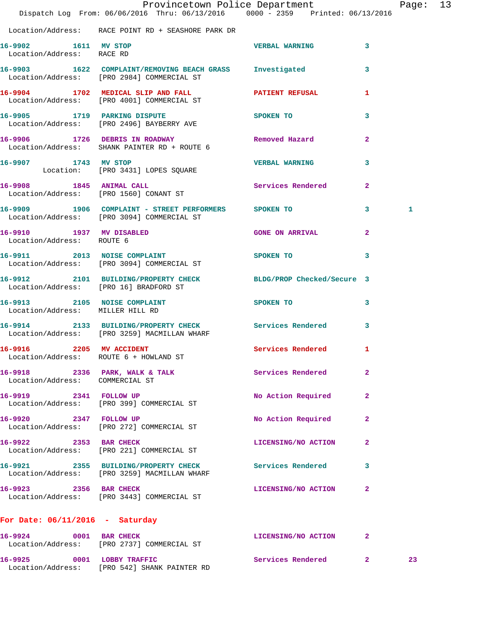|                                                       | Dispatch Log From: 06/06/2016 Thru: 06/13/2016 0000 - 2359 Printed: 06/13/2016                          | Provincetown Police Department |                | Page: 13 |  |
|-------------------------------------------------------|---------------------------------------------------------------------------------------------------------|--------------------------------|----------------|----------|--|
|                                                       | Location/Address: RACE POINT RD + SEASHORE PARK DR                                                      |                                |                |          |  |
| 16-9902 1611 MV STOP<br>Location/Address: RACE RD     |                                                                                                         | <b>VERBAL WARNING</b>          | $\mathbf{3}$   |          |  |
|                                                       | 16-9903 1622 COMPLAINT/REMOVING BEACH GRASS Investigated<br>Location/Address: [PRO 2984] COMMERCIAL ST  |                                | $\mathbf{3}$   |          |  |
|                                                       | 16-9904 1702 MEDICAL SLIP AND FALL <b>PATIENT REFUSAL</b><br>Location/Address: [PRO 4001] COMMERCIAL ST |                                | 1              |          |  |
|                                                       | 16-9905 1719 PARKING DISPUTE<br>Location/Address: [PRO 2496] BAYBERRY AVE                               | SPOKEN TO                      | 3              |          |  |
|                                                       | 16-9906 1726 DEBRIS IN ROADWAY Nemoved Hazard<br>Location/Address: SHANK PAINTER RD + ROUTE 6           |                                | $\overline{2}$ |          |  |
|                                                       | 16-9907 1743 MV STOP<br>Location: [PRO 3431] LOPES SQUARE                                               | <b>VERBAL WARNING</b>          | 3              |          |  |
| 16-9908 1845 ANIMAL CALL                              | Location/Address: [PRO 1560] CONANT ST                                                                  | Services Rendered              | $\mathbf{2}$   |          |  |
|                                                       | 16-9909 1906 COMPLAINT - STREET PERFORMERS SPOKEN TO<br>Location/Address: [PRO 3094] COMMERCIAL ST      |                                | 3              | 1        |  |
| 16-9910 1937 MV DISABLED<br>Location/Address: ROUTE 6 |                                                                                                         | <b>GONE ON ARRIVAL</b>         | $\mathbf{2}$   |          |  |
|                                                       | 16-9911 2013 NOISE COMPLAINT<br>Location/Address: [PRO 3094] COMMERCIAL ST                              | SPOKEN TO                      | 3              |          |  |
| Location/Address: [PRO 16] BRADFORD ST                | 16-9912 2101 BUILDING/PROPERTY CHECK BLDG/PROP Checked/Secure 3                                         |                                |                |          |  |
| Location/Address: MILLER HILL RD                      | 16-9913 2105 NOISE COMPLAINT                                                                            | SPOKEN TO                      | 3              |          |  |
|                                                       | 16-9914 2133 BUILDING/PROPERTY CHECK Services Rendered<br>Location/Address: [PRO 3259] MACMILLAN WHARF  |                                | $\mathbf{3}$   |          |  |
| 16-9916 2205 MV ACCIDENT<br>Location/Address:         | ROUTE 6 + HOWLAND ST                                                                                    | Services Rendered 1            |                |          |  |
| Location/Address: COMMERCIAL ST                       | 16-9918 2336 PARK, WALK & TALK                                                                          | Services Rendered              | $\mathbf{2}$   |          |  |
| 16-9919 2341 FOLLOW UP                                | Location/Address: [PRO 399] COMMERCIAL ST                                                               | No Action Required             | $\mathbf{2}$   |          |  |
| 16-9920 2347 FOLLOW UP                                | Location/Address: [PRO 272] COMMERCIAL ST                                                               | No Action Required             | 2              |          |  |
| 16-9922 2353 BAR CHECK                                | Location/Address: [PRO 221] COMMERCIAL ST                                                               | LICENSING/NO ACTION            | $\mathbf{2}$   |          |  |
|                                                       | 16-9921 2355 BUILDING/PROPERTY CHECK<br>Location/Address: [PRO 3259] MACMILLAN WHARF                    | Services Rendered              | 3              |          |  |
| 16-9923 2356 BAR CHECK                                | Location/Address: [PRO 3443] COMMERCIAL ST                                                              | LICENSING/NO ACTION            | $\mathbf{2}$   |          |  |
| For Date: $06/11/2016$ - Saturday                     |                                                                                                         |                                |                |          |  |
| 16-9924 0001 BAR CHECK                                | Location/Address: [PRO 2737] COMMERCIAL ST                                                              | LICENSING/NO ACTION            | $\mathbf{2}$   |          |  |
| 16-9925 0001 LOBBY TRAFFIC                            |                                                                                                         | Services Rendered 2            |                | 23       |  |

Location/Address: [PRO 542] SHANK PAINTER RD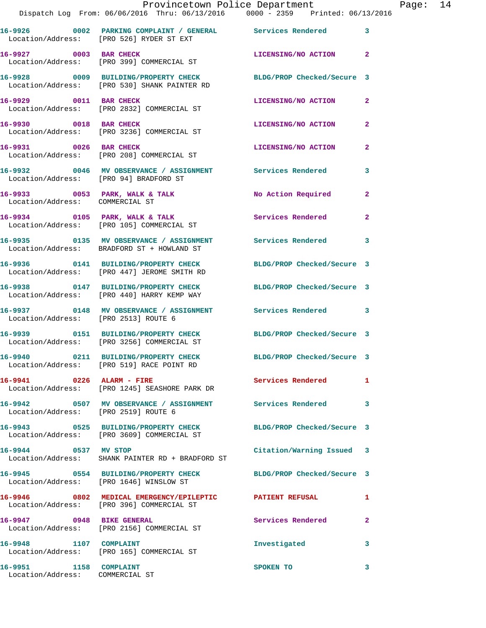|                                 | Provincetown Police Department<br>Dispatch Log From: 06/06/2016 Thru: 06/13/2016 0000 - 2359 Printed: 06/13/2016 |                            |                |
|---------------------------------|------------------------------------------------------------------------------------------------------------------|----------------------------|----------------|
|                                 | 16-9926 0002 PARKING COMPLAINT / GENERAL Services Rendered<br>Location/Address: [PRO 526] RYDER ST EXT           |                            | 3              |
| 16-9927 0003 BAR CHECK          | Location/Address: [PRO 399] COMMERCIAL ST                                                                        | LICENSING/NO ACTION        | $\mathbf{2}$   |
|                                 | 16-9928 0009 BUILDING/PROPERTY CHECK<br>Location/Address: [PRO 530] SHANK PAINTER RD                             | BLDG/PROP Checked/Secure 3 |                |
| 16-9929 0011 BAR CHECK          | Location/Address: [PRO 2832] COMMERCIAL ST                                                                       | LICENSING/NO ACTION        | $\mathbf{2}$   |
| 16-9930 0018 BAR CHECK          | Location/Address: [PRO 3236] COMMERCIAL ST                                                                       | LICENSING/NO ACTION        | 2              |
| 16-9931 0026 BAR CHECK          | Location/Address: [PRO 208] COMMERCIAL ST                                                                        | <b>LICENSING/NO ACTION</b> | 2              |
|                                 | 16-9932 0046 MV OBSERVANCE / ASSIGNMENT Services Rendered<br>Location/Address: [PRO 94] BRADFORD ST              |                            | 3              |
| Location/Address: COMMERCIAL ST | 16-9933 0053 PARK, WALK & TALK                                                                                   | No Action Required         | $\mathbf{2}$   |
|                                 | 16-9934 0105 PARK, WALK & TALK<br>Location/Address: [PRO 105] COMMERCIAL ST                                      | Services Rendered          | $\overline{a}$ |
|                                 | 16-9935 		 0135 MV OBSERVANCE / ASSIGNMENT Services Rendered<br>Location/Address: BRADFORD ST + HOWLAND ST       |                            | 3              |
|                                 | 16-9936 0141 BUILDING/PROPERTY CHECK BLDG/PROP Checked/Secure 3<br>Location/Address: [PRO 447] JEROME SMITH RD   |                            |                |
|                                 | 16-9938 0147 BUILDING/PROPERTY CHECK<br>Location/Address: [PRO 440] HARRY KEMP WAY                               | BLDG/PROP Checked/Secure 3 |                |
|                                 | 16-9937 0148 MV OBSERVANCE / ASSIGNMENT Services Rendered<br>Location/Address: [PRO 2513] ROUTE 6                |                            | 3              |
|                                 | 16-9939 0151 BUILDING/PROPERTY CHECK<br>Location/Address: [PRO 3256] COMMERCIAL ST                               | BLDG/PROP Checked/Secure 3 |                |
|                                 | 16-9940 0211 BUILDING/PROPERTY CHECK<br>Location/Address: [PRO 519] RACE POINT RD                                | BLDG/PROP Checked/Secure 3 |                |
|                                 | 16-9941 0226 ALARM - FIRE<br>Location/Address: [PRO 1245] SEASHORE PARK DR                                       | Services Rendered          | 1              |
|                                 | 16-9942 0507 MV OBSERVANCE / ASSIGNMENT Services Rendered<br>Location/Address: [PRO 2519] ROUTE 6                |                            | 3              |
|                                 | 16-9943 0525 BUILDING/PROPERTY CHECK BLDG/PROP Checked/Secure 3<br>Location/Address: [PRO 3609] COMMERCIAL ST    |                            |                |
| 16-9944 0537 MV STOP            | Location/Address: SHANK PAINTER RD + BRADFORD ST                                                                 | Citation/Warning Issued    | 3              |
|                                 | 16-9945 0554 BUILDING/PROPERTY CHECK BLDG/PROP Checked/Secure 3<br>Location/Address: [PRO 1646] WINSLOW ST       |                            |                |
|                                 | 16-9946 0802 MEDICAL EMERGENCY/EPILEPTIC PATIENT REFUSAL<br>Location/Address: [PRO 396] COMMERCIAL ST            |                            | 1              |
| 16-9947 0948 BIKE GENERAL       | Location/Address: [PRO 2156] COMMERCIAL ST                                                                       | Services Rendered          | 2              |
| 16-9948 1107 COMPLAINT          | Location/Address: [PRO 165] COMMERCIAL ST                                                                        | Investigated               | 3              |
| 16-9951 1158 COMPLAINT          |                                                                                                                  | SPOKEN TO                  | 3              |

Location/Address: COMMERCIAL ST

Page: 14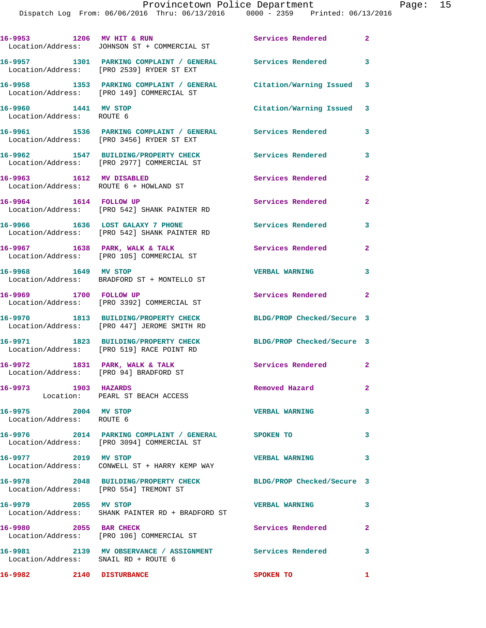| 16-9953 1206 MV HIT & RUN                         |                                                                                                               | Services Rendered          | 2.             |
|---------------------------------------------------|---------------------------------------------------------------------------------------------------------------|----------------------------|----------------|
|                                                   | Location/Address: JOHNSON ST + COMMERCIAL ST                                                                  |                            |                |
|                                                   | 16-9957 1301 PARKING COMPLAINT / GENERAL Services Rendered<br>Location/Address: [PRO 2539] RYDER ST EXT       |                            | 3              |
|                                                   | 16-9958 1353 PARKING COMPLAINT / GENERAL Citation/Warning Issued<br>Location/Address: [PRO 149] COMMERCIAL ST |                            | 3              |
| 16-9960 1441 MV STOP<br>Location/Address: ROUTE 6 |                                                                                                               | Citation/Warning Issued    | 3              |
|                                                   |                                                                                                               | Services Rendered          | 3              |
|                                                   | 16-9962 1547 BUILDING/PROPERTY CHECK<br>Location/Address: [PRO 2977] COMMERCIAL ST                            | Services Rendered          | 3              |
|                                                   | 16-9963 1612 MV DISABLED<br>Location/Address: ROUTE 6 + HOWLAND ST                                            | Services Rendered          | $\overline{a}$ |
| 16-9964 1614 FOLLOW UP                            | Location/Address: [PRO 542] SHANK PAINTER RD                                                                  | Services Rendered          | 2              |
|                                                   | 16-9966 1636 LOST GALAXY 7 PHONE<br>Location/Address: [PRO 542] SHANK PAINTER RD                              | Services Rendered          | 3              |
|                                                   | 16-9967 1638 PARK, WALK & TALK<br>Location/Address: [PRO 105] COMMERCIAL ST                                   | Services Rendered          | 2              |
| 16-9968 1649 MV STOP                              | Location/Address: BRADFORD ST + MONTELLO ST                                                                   | <b>VERBAL WARNING</b>      | 3              |
| 16-9969 1700 FOLLOW UP                            | Location/Address: [PRO 3392] COMMERCIAL ST                                                                    | Services Rendered          | 2              |
|                                                   | 16-9970 1813 BUILDING/PROPERTY CHECK<br>Location/Address: [PRO 447] JEROME SMITH RD                           | BLDG/PROP Checked/Secure 3 |                |
|                                                   | 16-9971 1823 BUILDING/PROPERTY CHECK<br>Location/Address: [PRO 519] RACE POINT RD                             | BLDG/PROP Checked/Secure 3 |                |
|                                                   | 16-9972 1831 PARK, WALK & TALK<br>Location/Address: [PRO 94] BRADFORD ST                                      | Services Rendered          | 2              |
| 16-9973 1903 HAZARDS                              | Location: PEARL ST BEACH ACCESS                                                                               | Removed Hazard             | 2              |
| 16-9975 2004 MV STOP<br>Location/Address: ROUTE 6 |                                                                                                               | <b>VERBAL WARNING</b>      | 3              |
|                                                   | 16-9976 2014 PARKING COMPLAINT / GENERAL SPOKEN TO<br>Location/Address: [PRO 3094] COMMERCIAL ST              |                            | 3              |
| 16-9977 2019 MV STOP                              | Location/Address: CONWELL ST + HARRY KEMP WAY                                                                 | <b>VERBAL WARNING</b>      | 3              |
|                                                   | 16-9978 2048 BUILDING/PROPERTY CHECK BLDG/PROP Checked/Secure 3<br>Location/Address: [PRO 554] TREMONT ST     |                            |                |
| 16-9979 2055 MV STOP                              | Location/Address: SHANK PAINTER RD + BRADFORD ST                                                              | <b>VERBAL WARNING</b>      | 3              |
| 16-9980 2055 BAR CHECK                            | Location/Address: [PRO 106] COMMERCIAL ST                                                                     | Services Rendered          | $\overline{a}$ |
| Location/Address: SNAIL RD + ROUTE 6              | 16-9981 2139 MV OBSERVANCE / ASSIGNMENT Services Rendered                                                     |                            | 3              |
| 16-9982 2140 DISTURBANCE                          |                                                                                                               | SPOKEN TO                  | 1              |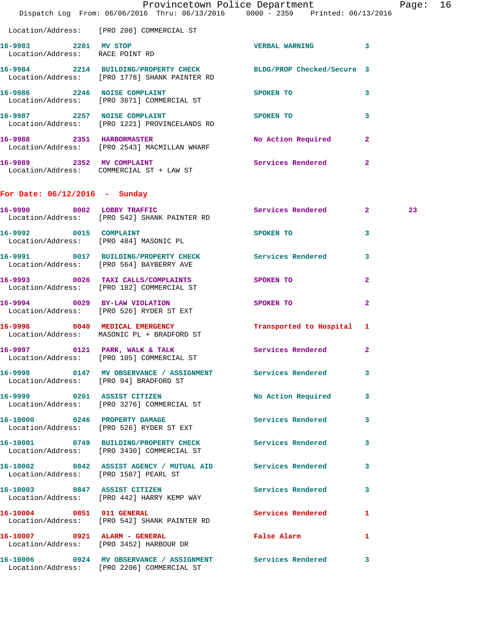|                                                         | Provincetown Police Department<br>Dispatch Log From: 06/06/2016 Thru: 06/13/2016 0000 - 2359 Printed: 06/13/2016 |                                                                                                                                                                                                                                |              | Page: 16 |  |
|---------------------------------------------------------|------------------------------------------------------------------------------------------------------------------|--------------------------------------------------------------------------------------------------------------------------------------------------------------------------------------------------------------------------------|--------------|----------|--|
|                                                         | Location/Address: [PRO 208] COMMERCIAL ST                                                                        |                                                                                                                                                                                                                                |              |          |  |
| 16-9983 2201 MV STOP<br>Location/Address: RACE POINT RD |                                                                                                                  | VERBAL WARNING 3                                                                                                                                                                                                               |              |          |  |
|                                                         | 16-9984 2214 BUILDING/PROPERTY CHECK BLDG/PROP Checked/Secure 3<br>Location/Address: [PRO 1778] SHANK PAINTER RD |                                                                                                                                                                                                                                |              |          |  |
|                                                         | 16-9986 2246 NOISE COMPLAINT<br>Location/Address: [PRO 3671] COMMERCIAL ST                                       | SPOKEN TO                                                                                                                                                                                                                      | 3            |          |  |
|                                                         | 16-9987 2257 NOISE COMPLAINT<br>Location/Address: [PRO 1221] PROVINCELANDS RD                                    | SPOKEN TO                                                                                                                                                                                                                      | 3            |          |  |
|                                                         | 16-9988 2351 HARBORMASTER<br>Location/Address: [PRO 2543] MACMILLAN WHARF                                        | No Action Required                                                                                                                                                                                                             | $\mathbf{2}$ |          |  |
|                                                         | 16-9989 2352 MV COMPLAINT<br>Location/Address: COMMERCIAL ST + LAW ST                                            | Services Rendered 2                                                                                                                                                                                                            |              |          |  |
| For Date: $06/12/2016$ - Sunday                         |                                                                                                                  |                                                                                                                                                                                                                                |              |          |  |
|                                                         | 16-9990 0002 LOBBY TRAFFIC<br>Location/Address: [PRO 542] SHANK PAINTER RD                                       | Services Rendered 2                                                                                                                                                                                                            |              | 23       |  |
|                                                         | 16-9992 0015 COMPLAINT<br>Location/Address: [PRO 484] MASONIC PL                                                 | SPOKEN TO AND TO A STRUCK TO A STRUCK TO A STRUCK TO A STRUCK TO A STRUCK TO A STRUCK TO A STRUCK TO A STRUCK TO A STRUCK TO A STRUCK TO A STRUCK TO A STRUCK TO A STRUCK THAT A STRUCK TO A STRUCK THAT A STRUCK THAT A STRUC | 3            |          |  |
|                                                         | 16-9991 0017 BUILDING/PROPERTY CHECK Services Rendered<br>Location/Address: [PRO 564] BAYBERRY AVE               |                                                                                                                                                                                                                                | -3           |          |  |
|                                                         | 16-9993 0026 TAXI CALLS/COMPLAINTS SPOKEN TO<br>Location/Address: [PRO 182] COMMERCIAL ST                        |                                                                                                                                                                                                                                | $\mathbf{2}$ |          |  |
|                                                         | 16-9994 0029 BY-LAW VIOLATION<br>Location/Address: [PRO 526] RYDER ST EXT                                        | SPOKEN TO                                                                                                                                                                                                                      | $\mathbf{2}$ |          |  |
|                                                         | 16-9996 0040 MEDICAL EMERGENCY<br>Location/Address: MASONIC PL + BRADFORD ST                                     | Transported to Hospital 1                                                                                                                                                                                                      |              |          |  |
|                                                         | 16-9997 0121 PARK, WALK & TALK<br>Location/Address: [PRO 105] COMMERCIAL ST                                      | Services Rendered                                                                                                                                                                                                              | $\mathbf{2}$ |          |  |
|                                                         | 16-9998 0147 MV OBSERVANCE / ASSIGNMENT Services Rendered 3<br>Location/Address: [PRO 94] BRADFORD ST            |                                                                                                                                                                                                                                |              |          |  |
|                                                         | 16-9999 0201 ASSIST CITIZEN<br>Location/Address: [PRO 3276] COMMERCIAL ST                                        | No Action Required 3                                                                                                                                                                                                           |              |          |  |
|                                                         | 16-10000 0246 PROPERTY DAMAGE<br>Location/Address: [PRO 526] RYDER ST EXT                                        | Services Rendered 3                                                                                                                                                                                                            |              |          |  |
|                                                         | 16-10001 0749 BUILDING/PROPERTY CHECK Services Rendered 3<br>Location/Address: [PRO 3430] COMMERCIAL ST          |                                                                                                                                                                                                                                |              |          |  |
|                                                         | 16-10002 0842 ASSIST AGENCY / MUTUAL AID Services Rendered 3<br>Location/Address: [PRO 1587] PEARL ST            |                                                                                                                                                                                                                                |              |          |  |
|                                                         | 16-10003 0847 ASSIST CITIZEN<br>Location/Address: [PRO 442] HARRY KEMP WAY                                       | Services Rendered 3                                                                                                                                                                                                            |              |          |  |
| 16-10004 0851 911 GENERAL                               | Location/Address: [PRO 542] SHANK PAINTER RD                                                                     | Services Rendered 1                                                                                                                                                                                                            |              |          |  |
|                                                         | 16-10007 0921 ALARM - GENERAL<br>Location/Address: [PRO 3452] HARBOUR DR                                         | False Alarm 1                                                                                                                                                                                                                  |              |          |  |
|                                                         | 16-10006 0924 MV OBSERVANCE / ASSIGNMENT Services Rendered 3<br>Location/Address: [PRO 2206] COMMERCIAL ST       |                                                                                                                                                                                                                                |              |          |  |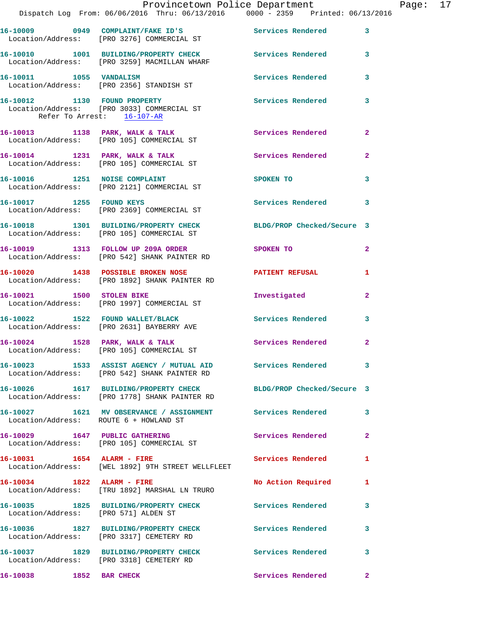|                                        | Dispatch Log From: 06/06/2016 Thru: 06/13/2016 0000 - 2359 Printed: 06/13/2016                                    | Provincetown Police Department |                | Page: 17 |  |
|----------------------------------------|-------------------------------------------------------------------------------------------------------------------|--------------------------------|----------------|----------|--|
|                                        | 16-10009 0949 COMPLAINT/FAKE ID'S Services Rendered<br>Location/Address: [PRO 3276] COMMERCIAL ST                 |                                | $\mathbf{3}$   |          |  |
|                                        | 16-10010 1001 BUILDING/PROPERTY CHECK Services Rendered 3<br>Location/Address: [PRO 3259] MACMILLAN WHARF         |                                |                |          |  |
|                                        |                                                                                                                   | Services Rendered              | 3              |          |  |
| Refer To Arrest: 16-107-AR             | 16-10012 1130 FOUND PROPERTY<br>Location/Address: [PRO 3033] COMMERCIAL ST                                        | Services Rendered              | $\mathbf{3}$   |          |  |
|                                        | 16-10013 1138 PARK, WALK & TALK Services Rendered<br>Location/Address: [PRO 105] COMMERCIAL ST                    |                                | $\mathbf{2}$   |          |  |
|                                        | 16-10014 1231 PARK, WALK & TALK Services Rendered<br>Location/Address: [PRO 105] COMMERCIAL ST                    |                                | $\mathbf{2}$   |          |  |
|                                        | 16-10016 1251 NOISE COMPLAINT<br>Location/Address: [PRO 2121] COMMERCIAL ST                                       | SPOKEN TO                      | 3              |          |  |
|                                        | 16-10017 1255 FOUND KEYS<br>Location/Address: [PRO 2369] COMMERCIAL ST                                            | <b>Services Rendered</b>       | 3              |          |  |
|                                        | 16-10018 1301 BUILDING/PROPERTY CHECK BLDG/PROP Checked/Secure 3<br>Location/Address: [PRO 105] COMMERCIAL ST     |                                |                |          |  |
|                                        | 16-10019 1313 FOLLOW UP 209A ORDER<br>Location/Address: [PRO 542] SHANK PAINTER RD                                | SPOKEN TO                      | $\overline{2}$ |          |  |
|                                        | 16-10020 1438 POSSIBLE BROKEN NOSE PATIENT REFUSAL<br>Location/Address: [PRO 1892] SHANK PAINTER RD               |                                | 1              |          |  |
|                                        | 16-10021 1500 STOLEN BIKE<br>Location/Address: [PRO 1997] COMMERCIAL ST                                           | Investigated                   | $\mathbf{2}$   |          |  |
|                                        | 16-10022 1522 FOUND WALLET/BLACK<br>Location/Address: [PRO 2631] BAYBERRY AVE                                     | Services Rendered              | 3              |          |  |
|                                        | 16-10024 1528 PARK, WALK & TALK 1999 Services Rendered<br>Location/Address: [PRO 105] COMMERCIAL ST               |                                | $\overline{2}$ |          |  |
|                                        | 16-10023 1533 ASSIST AGENCY / MUTUAL AID Services Rendered 3<br>Location/Address: [PRO 542] SHANK PAINTER RD      |                                |                |          |  |
|                                        | 16-10026 1617 BUILDING/PROPERTY CHECK BLDG/PROP Checked/Secure 3<br>Location/Address: [PRO 1778] SHANK PAINTER RD |                                |                |          |  |
| Location/Address: ROUTE 6 + HOWLAND ST | 16-10027 1621 MV OBSERVANCE / ASSIGNMENT Services Rendered 3                                                      |                                |                |          |  |
|                                        | 16-10029 1647 PUBLIC GATHERING<br>Location/Address: [PRO 105] COMMERCIAL ST                                       | <b>Services Rendered</b>       | $\mathbf{2}$   |          |  |
| 16-10031 1654 ALARM - FIRE             | Location/Address: [WEL 1892] 9TH STREET WELLFLEET                                                                 | Services Rendered              | 1              |          |  |
|                                        | 16-10034 1822 ALARM - FIRE<br>Location/Address: [TRU 1892] MARSHAL LN TRURO                                       | No Action Required             | 1              |          |  |
| Location/Address: [PRO 571] ALDEN ST   | 16-10035 1825 BUILDING/PROPERTY CHECK Services Rendered                                                           |                                | 3              |          |  |
|                                        | 16-10036 1827 BUILDING/PROPERTY CHECK<br>Location/Address: [PRO 3317] CEMETERY RD                                 | Services Rendered              | 3              |          |  |
|                                        | 16-10037 1829 BUILDING/PROPERTY CHECK<br>Location/Address: [PRO 3318] CEMETERY RD                                 | <b>Services Rendered</b>       | 3              |          |  |
| 16-10038 1852 BAR CHECK                |                                                                                                                   | Services Rendered              | $\mathbf{2}$   |          |  |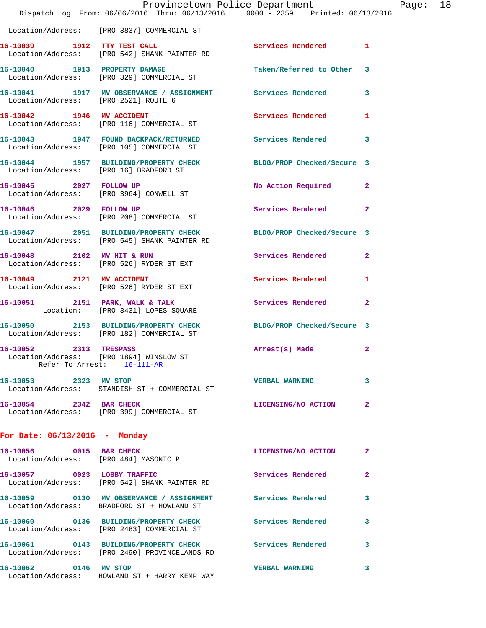|                                      | Dispatch Log From: 06/06/2016 Thru: 06/13/2016 0000 - 2359 Printed: 06/13/2016                                   | Provincetown Police Department |              | Page: 18 |  |
|--------------------------------------|------------------------------------------------------------------------------------------------------------------|--------------------------------|--------------|----------|--|
|                                      | Location/Address: [PRO 3837] COMMERCIAL ST                                                                       |                                |              |          |  |
|                                      | 16-10039 1912 TTY TEST CALL<br>Location/Address: [PRO 542] SHANK PAINTER RD                                      | Services Rendered 1            |              |          |  |
|                                      | 16-10040 1913 PROPERTY DAMAGE<br>Location/Address: [PRO 329] COMMERCIAL ST                                       | Taken/Referred to Other 3      |              |          |  |
| Location/Address: [PRO 2521] ROUTE 6 | 16-10041 1917 MV OBSERVANCE / ASSIGNMENT Services Rendered 3                                                     |                                |              |          |  |
|                                      | 16-10042 1946 MV ACCIDENT<br>Location/Address: [PRO 116] COMMERCIAL ST                                           | Services Rendered 1            |              |          |  |
|                                      | 16-10043 1947 FOUND BACKPACK/RETURNED Services Rendered 3<br>Location/Address: [PRO 105] COMMERCIAL ST           |                                |              |          |  |
|                                      | 16-10044 1957 BUILDING/PROPERTY CHECK BLDG/PROP Checked/Secure 3<br>Location/Address: [PRO 16] BRADFORD ST       |                                |              |          |  |
| 16-10045 2027 FOLLOW UP              | Location/Address: [PRO 3964] CONWELL ST                                                                          | No Action Required 2           |              |          |  |
|                                      | 16-10046 2029 FOLLOW UP<br>Location/Address: [PRO 208] COMMERCIAL ST                                             | Services Rendered 2            |              |          |  |
|                                      | 16-10047 2051 BUILDING/PROPERTY CHECK BLDG/PROP Checked/Secure 3<br>Location/Address: [PRO 545] SHANK PAINTER RD |                                |              |          |  |
|                                      | 16-10048 2102 MV HIT & RUN<br>Location/Address: [PRO 526] RYDER ST EXT                                           | Services Rendered 2            |              |          |  |
| 16-10049 2121 MV ACCIDENT            | Location/Address: [PRO 526] RYDER ST EXT                                                                         | Services Rendered 1            |              |          |  |
|                                      | 16-10051 2151 PARK, WALK & TALK<br>Location: [PRO 3431] LOPES SQUARE                                             | Services Rendered 2            |              |          |  |
|                                      | 16-10050 2153 BUILDING/PROPERTY CHECK BLDG/PROP Checked/Secure 3<br>Location/Address: [PRO 182] COMMERCIAL ST    |                                |              |          |  |
| 16-10052 2313 TRESPASS               | Location/Address: [PRO 1894] WINSLOW ST<br>Refer To Arrest: 16-111-AR                                            | Arrest(s) Made                 | $\mathbf{2}$ |          |  |
| 16-10053 2323 MV STOP                | Location/Address: STANDISH ST + COMMERCIAL ST                                                                    | <b>VERBAL WARNING</b>          | 3            |          |  |
|                                      | 16-10054 2342 BAR CHECK<br>Location/Address: [PRO 399] COMMERCIAL ST                                             | LICENSING/NO ACTION            | $\mathbf{2}$ |          |  |
| For Date: $06/13/2016$ - Monday      |                                                                                                                  |                                |              |          |  |
|                                      | 16-10056 0015 BAR CHECK<br>Location/Address: [PRO 484] MASONIC PL                                                | LICENSING/NO ACTION            | $\mathbf{2}$ |          |  |
|                                      | 16-10057 0023 LOBBY TRAFFIC<br>Location/Address: [PRO 542] SHANK PAINTER RD                                      | Services Rendered              | -2           |          |  |
|                                      | 16-10059 0130 MV OBSERVANCE / ASSIGNMENT Services Rendered 3<br>Location/Address: BRADFORD ST + HOWLAND ST       |                                |              |          |  |
|                                      | 16-10060 0136 BUILDING/PROPERTY CHECK<br>Location/Address: [PRO 2483] COMMERCIAL ST                              | <b>Services Rendered</b>       | 3            |          |  |
|                                      | 16-10061 0143 BUILDING/PROPERTY CHECK Services Rendered 3<br>Location/Address: [PRO 2490] PROVINCELANDS RD       |                                |              |          |  |
| 16-10062 0146 MV STOP                | Location/Address: HOWLAND ST + HARRY KEMP WAY                                                                    | <b>VERBAL WARNING</b>          | 3            |          |  |